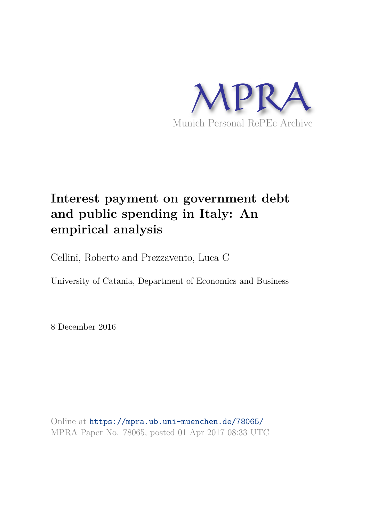

# **Interest payment on government debt and public spending in Italy: An empirical analysis**

Cellini, Roberto and Prezzavento, Luca C

University of Catania, Department of Economics and Business

8 December 2016

Online at https://mpra.ub.uni-muenchen.de/78065/ MPRA Paper No. 78065, posted 01 Apr 2017 08:33 UTC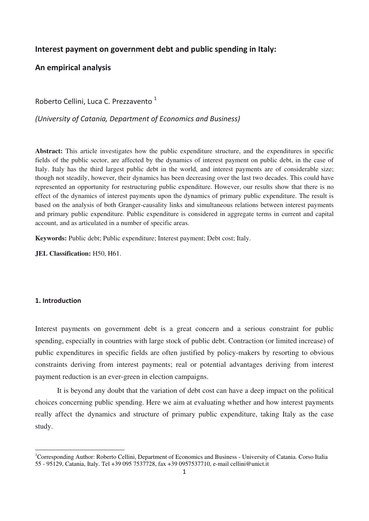## **Interest payment on government debt and public spending in Italy:**

## **An empirical analysis**

Roberto Cellini, Luca C. Prezzavento<sup>1</sup>

*(University of Catania, Department of Economics and Business)*

**Abstract:** This article investigates how the public expenditure structure, and the expenditures in specific fields of the public sector, are affected by the dynamics of interest payment on public debt, in the case of Italy. Italy has the third largest public debt in the world, and interest payments are of considerable size; though not steadily, however, their dynamics has been decreasing over the last two decades. This could have represented an opportunity for restructuring public expenditure. However, our results show that there is no effect of the dynamics of interest payments upon the dynamics of primary public expenditure. The result is based on the analysis of both Granger-causality links and simultaneous relations between interest payments and primary public expenditure. Public expenditure is considered in aggregate terms in current and capital account, and as articulated in a number of specific areas.

**Keywords:** Public debt; Public expenditure; Interest payment; Debt cost; Italy.

**JEL Classification:** H50, H61.

## **1. Introduction**

Interest payments on government debt is a great concern and a serious constraint for public spending, especially in countries with large stock of public debt. Contraction (or limited increase) of public expenditures in specific fields are often justified by policy-makers by resorting to obvious constraints deriving from interest payments; real or potential advantages deriving from interest payment reduction is an ever-green in election campaigns.

 It is beyond any doubt that the variation of debt cost can have a deep impact on the political choices concerning public spending. Here we aim at evaluating whether and how interest payments really affect the dynamics and structure of primary public expenditure, taking Italy as the case study.

<sup>&</sup>lt;sup>1</sup>Corresponding Author: Roberto Cellini, Department of Economics and Business - University of Catania. Corso Italia 55 - 95129, Catania, Italy. Tel +39 095 7537728, fax +39 0957537710, e-mail cellini@unict.it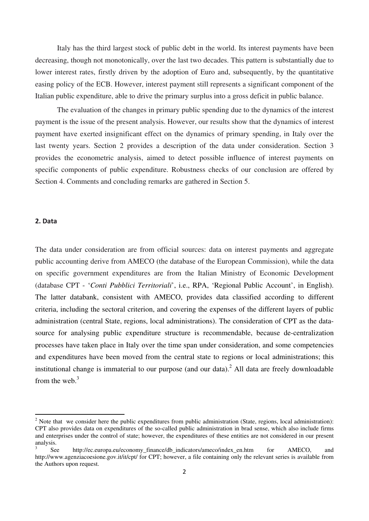Italy has the third largest stock of public debt in the world. Its interest payments have been decreasing, though not monotonically, over the last two decades. This pattern is substantially due to lower interest rates, firstly driven by the adoption of Euro and, subsequently, by the quantitative easing policy of the ECB. However, interest payment still represents a significant component of the Italian public expenditure, able to drive the primary surplus into a gross deficit in public balance.

 The evaluation of the changes in primary public spending due to the dynamics of the interest payment is the issue of the present analysis. However, our results show that the dynamics of interest payment have exerted insignificant effect on the dynamics of primary spending, in Italy over the last twenty years. Section 2 provides a description of the data under consideration. Section 3 provides the econometric analysis, aimed to detect possible influence of interest payments on specific components of public expenditure. Robustness checks of our conclusion are offered by Section 4. Comments and concluding remarks are gathered in Section 5.

### **2. Data**

The data under consideration are from official sources: data on interest payments and aggregate public accounting derive from AMECO (the database of the European Commission), while the data on specific government expenditures are from the Italian Ministry of Economic Development (database CPT - '*Conti Pubblici Territoriali*', i.e., RPA, 'Regional Public Account', in English). The latter databank, consistent with AMECO, provides data classified according to different criteria, including the sectoral criterion, and covering the expenses of the different layers of public administration (central State, regions, local administrations). The consideration of CPT as the datasource for analysing public expenditure structure is recommendable, because de-centralization processes have taken place in Italy over the time span under consideration, and some competencies and expenditures have been moved from the central state to regions or local administrations; this institutional change is immaterial to our purpose (and our data).<sup>2</sup> All data are freely downloadable from the web. $3$ 

 $2^2$  Note that we consider here the public expenditures from public administration (State, regions, local administration): CPT also provides data on expenditures of the so-called public administration in brad sense, which also include firms and enterprises under the control of state; however, the expenditures of these entities are not considered in our present analysis.

<sup>3</sup> See http://ec.europa.eu/economy\_finance/db\_indicators/ameco/index\_en.htm for AMECO, and http://www.agenziacoesione.gov.it/it/cpt/ for CPT; however, a file containing only the relevant series is available from the Authors upon request.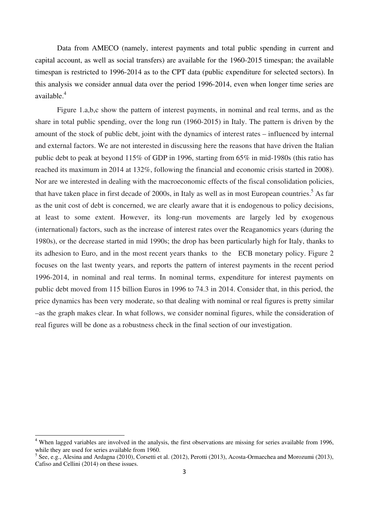Data from AMECO (namely, interest payments and total public spending in current and capital account, as well as social transfers) are available for the 1960-2015 timespan; the available timespan is restricted to 1996-2014 as to the CPT data (public expenditure for selected sectors). In this analysis we consider annual data over the period 1996-2014, even when longer time series are available.<sup>4</sup>

 Figure 1.a,b,c show the pattern of interest payments, in nominal and real terms, and as the share in total public spending, over the long run (1960-2015) in Italy. The pattern is driven by the amount of the stock of public debt, joint with the dynamics of interest rates – influenced by internal and external factors. We are not interested in discussing here the reasons that have driven the Italian public debt to peak at beyond 115% of GDP in 1996, starting from 65% in mid-1980s (this ratio has reached its maximum in 2014 at 132%, following the financial and economic crisis started in 2008). Nor are we interested in dealing with the macroeconomic effects of the fiscal consolidation policies, that have taken place in first decade of 2000s, in Italy as well as in most European countries.<sup>5</sup> As far as the unit cost of debt is concerned, we are clearly aware that it is endogenous to policy decisions, at least to some extent. However, its long-run movements are largely led by exogenous (international) factors, such as the increase of interest rates over the Reaganomics years (during the 1980s), or the decrease started in mid 1990s; the drop has been particularly high for Italy, thanks to its adhesion to Euro, and in the most recent years thanks to the ECB monetary policy. Figure 2 focuses on the last twenty years, and reports the pattern of interest payments in the recent period 1996-2014, in nominal and real terms. In nominal terms, expenditure for interest payments on public debt moved from 115 billion Euros in 1996 to 74.3 in 2014. Consider that, in this period, the price dynamics has been very moderate, so that dealing with nominal or real figures is pretty similar –as the graph makes clear. In what follows, we consider nominal figures, while the consideration of real figures will be done as a robustness check in the final section of our investigation.

<sup>&</sup>lt;sup>4</sup> When lagged variables are involved in the analysis, the first observations are missing for series available from 1996, while they are used for series available from 1960.

<sup>&</sup>lt;sup>5</sup> See, e.g., Alesina and Ardagna (2010), Corsetti et al. (2012), Perotti (2013), Acosta-Ormaechea and Morozumi (2013), Cafiso and Cellini (2014) on these issues.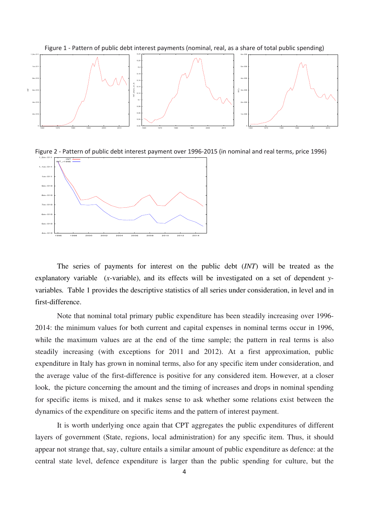

Figure 2 ‐ Pattern of public debt interest payment over 1996‐2015 (in nominal and real terms, price 1996)



 The series of payments for interest on the public debt (*INT*) will be treated as the explanatory variable (*x*-variable), and its effects will be investigated on a set of dependent *y*variables*.* Table 1 provides the descriptive statistics of all series under consideration, in level and in first-difference.

 Note that nominal total primary public expenditure has been steadily increasing over 1996- 2014: the minimum values for both current and capital expenses in nominal terms occur in 1996, while the maximum values are at the end of the time sample; the pattern in real terms is also steadily increasing (with exceptions for 2011 and 2012). At a first approximation, public expenditure in Italy has grown in nominal terms, also for any specific item under consideration, and the average value of the first-difference is positive for any considered item. However, at a closer look, the picture concerning the amount and the timing of increases and drops in nominal spending for specific items is mixed, and it makes sense to ask whether some relations exist between the dynamics of the expenditure on specific items and the pattern of interest payment.

 It is worth underlying once again that CPT aggregates the public expenditures of different layers of government (State, regions, local administration) for any specific item. Thus, it should appear not strange that, say, culture entails a similar amount of public expenditure as defence: at the central state level, defence expenditure is larger than the public spending for culture, but the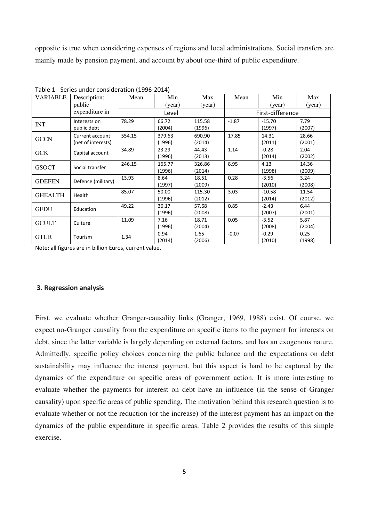opposite is true when considering expenses of regions and local administrations. Social transfers are mainly made by pension payment, and account by about one-third of public expenditure.

| <b>VARIABLE</b> | Description:<br>public                | Mean   | Min<br>(year)    | Max<br>(year)    | Mean             | Min<br>(year)      | Max<br>(year)   |  |
|-----------------|---------------------------------------|--------|------------------|------------------|------------------|--------------------|-----------------|--|
|                 | expenditure in                        | Level  |                  |                  | First-difference |                    |                 |  |
| <b>INT</b>      | Interests on<br>public debt           | 78.29  | 66.72<br>(2004)  | 115.58<br>(1996) | $-1.87$          | $-15.70$<br>(1997) | 7.79<br>(2007)  |  |
| <b>GCCN</b>     | Current account<br>(net of interests) | 554.15 | 379.63<br>(1996) | 690.90<br>(2014) | 17.85            | 14.31<br>(2011)    | 28.66<br>(2001) |  |
| <b>GCK</b>      | Capital account                       | 34.89  | 23.29<br>(1996)  | 44.43<br>(2013)  | 1.14             | $-0.28$<br>(2014)  | 2.04<br>(2002)  |  |
| <b>GSOCT</b>    | Social transfer                       | 246.15 | 165.77<br>(1996) | 326.86<br>(2014) | 8.95             | 4.13<br>(1998)     | 14.36<br>(2009) |  |
| <b>GDEFEN</b>   | Defence (military)                    | 13.93  | 8.64<br>(1997)   | 18.51<br>(2009)  | 0.28             | $-3.56$<br>(2010)  | 3.24<br>(2008)  |  |
| <b>GHEALTH</b>  | Health                                | 85.07  | 50.00<br>(1996)  | 115.30<br>(2012) | 3.03             | $-10.58$<br>(2014) | 11.54<br>(2012) |  |
| <b>GEDU</b>     | Education                             | 49.22  | 36.17<br>(1996)  | 57.68<br>(2008)  | 0.85             | $-2.43$<br>(2007)  | 6.44<br>(2001)  |  |
| <b>GCULT</b>    | Culture                               | 11.09  | 7.16<br>(1996)   | 18.71<br>(2004)  | 0.05             | $-3.52$<br>(2008)  | 5.87<br>(2004)  |  |
| <b>GTUR</b>     | Tourism                               | 1.34   | 0.94<br>(2014)   | 1.65<br>(2006)   | $-0.07$          | $-0.29$<br>(2010)  | 0.25<br>(1998)  |  |

Table 1 ‐ Series under consideration (1996‐2014)

Note: all figures are in billion Euros, current value.

## **3. Regression analysis**

First, we evaluate whether Granger-causality links (Granger, 1969, 1988) exist. Of course, we expect no-Granger causality from the expenditure on specific items to the payment for interests on debt, since the latter variable is largely depending on external factors, and has an exogenous nature. Admittedly, specific policy choices concerning the public balance and the expectations on debt sustainability may influence the interest payment, but this aspect is hard to be captured by the dynamics of the expenditure on specific areas of government action. It is more interesting to evaluate whether the payments for interest on debt have an influence (in the sense of Granger causality) upon specific areas of public spending. The motivation behind this research question is to evaluate whether or not the reduction (or the increase) of the interest payment has an impact on the dynamics of the public expenditure in specific areas. Table 2 provides the results of this simple exercise.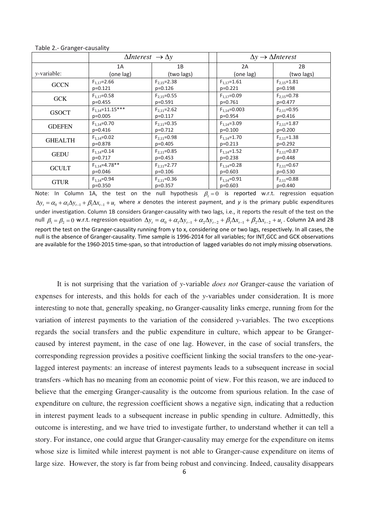|                     | $\Delta$ Interest $\rightarrow \Delta y$ |                   | $\Delta y \rightarrow \Delta Interst$ |                   |  |
|---------------------|------------------------------------------|-------------------|---------------------------------------|-------------------|--|
|                     | 1A                                       | 1B                | 2A                                    | 2B                |  |
| <i>v</i> -variable: | (one lag)                                | (two lags)        | (one lag)                             | (two lags)        |  |
| <b>GCCN</b>         | $F_{1.17} = 2.66$                        | $F_{2.15} = 2.38$ | $F_{1.17} = 1.61$                     | $F_{2.15} = 1.81$ |  |
|                     | $p=0.121$                                | $p=0.126$         | $p=0.221$                             | $p=0.198$         |  |
| <b>GCK</b>          | $F_{1.17} = 0.58$                        | $F_{2.15} = 0.55$ | $F_{1.17} = 0.09$                     | $F_{2.15} = 0.78$ |  |
|                     | $p=0.455$                                | $p=0.591$         | $p=0.761$                             | $p=0.477$         |  |
| <b>GSOCT</b>        | $F_{1,14} = 11.15***$                    | $F_{2,11} = 2.62$ | $F_{1.14} = 0.003$                    | $F_{2.11} = 0.95$ |  |
|                     | $p=0.005$                                | $p=0.117$         | $p=0.954$                             | $p=0.416$         |  |
| <b>GDEFEN</b>       | $F_{1,14} = 0.70$                        | $F_{2,11} = 0.35$ | $F_{1.14} = 3.09$                     | $F_{2.11} = 1.87$ |  |
|                     | $p=0.416$                                | $p=0.712$         | $p=0.100$                             | $p=0.200$         |  |
| <b>GHEALTH</b>      | $F_{1,14} = 0.02$                        | $F_{2,11} = 0.98$ | $F_{1.14} = 1.70$                     | $F_{2,11} = 1.38$ |  |
|                     | $p=0.878$                                | $p=0.405$         | $p=0.213$                             | $p=0.292$         |  |
| <b>GEDU</b>         | $F_{1,14} = 0.14$                        | $F_{2,11} = 0.85$ | $F_{1.14} = 1.52$                     | $F_{2.11} = 0.87$ |  |
|                     | $p=0.717$                                | $p=0.453$         | $p=0.238$                             | $p=0.448$         |  |
| <b>GCULT</b>        | $F_{1,14} = 4.78$ **                     | $F_{2,11} = 2.77$ | $F_{1.14} = 0.28$                     | $F_{2.11} = 0.67$ |  |
|                     | $p=0.046$                                | $p=0.106$         | $p=0.603$                             | $p=0.530$         |  |
| <b>GTUR</b>         | $F_{1.14} = 0.94$                        | $F_{2,11} = 0.36$ | $F_{1,14} = 0.91$                     | $F_{2.11} = 0.88$ |  |
|                     | $p=0.350$                                | $p=0.357$         | $p=0.603$                             | $p=0.440$         |  |

Table 2.‐ Granger‐causality

Note: In Column 1A, the test on the null hypothesis  $\beta_1 = 0$  is reported w.r.t. regression equation  $\Delta y_t = \alpha_0 + \alpha_1 \Delta y_{t-1} + \beta_1 \Delta x_{t-1} + u_t$  where *x* denotes the interest payment, and *y* is the primary public expenditures under investigation. Column 1B considers Granger-causality with two lags, i.e., it reports the result of the test on the null  $\beta_1 = \beta_2 = 0$  w.r.t. regression equation  $\Delta y_t = \alpha_0 + \alpha_1 \Delta y_{t-1} + \alpha_2 \Delta y_{t-2} + \beta_1 \Delta x_{t-1} + \beta_2 \Delta x_{t-2} + u_t$ . Column 2A and 2B report the test on the Granger‐causality running from y to x, considering one or two lags, respectively. In all cases, the null is the absence of Granger‐causality. Time sample is 1996‐2014 for all variables; for INT,GCC and GCK observations are available for the 1960-2015 time-span, so that introduction of lagged variables do not imply missing observations.

 It is not surprising that the variation of *y*-variable *does not* Granger-cause the variation of expenses for interests, and this holds for each of the *y*-variables under consideration. It is more interesting to note that, generally speaking, no Granger-causality links emerge, running from for the variation of interest payments to the variation of the considered *y*-variables. The two exceptions regards the social transfers and the public expenditure in culture, which appear to be Grangercaused by interest payment, in the case of one lag. However, in the case of social transfers, the corresponding regression provides a positive coefficient linking the social transfers to the one-yearlagged interest payments: an increase of interest payments leads to a subsequent increase in social transfers -which has no meaning from an economic point of view. For this reason, we are induced to believe that the emerging Granger-causality is the outcome from spurious relation. In the case of expenditure on culture, the regression coefficient shows a negative sign, indicating that a reduction in interest payment leads to a subsequent increase in public spending in culture. Admittedly, this outcome is interesting, and we have tried to investigate further, to understand whether it can tell a story. For instance, one could argue that Granger-causality may emerge for the expenditure on items whose size is limited while interest payment is not able to Granger-cause expenditure on items of large size. However, the story is far from being robust and convincing. Indeed, causality disappears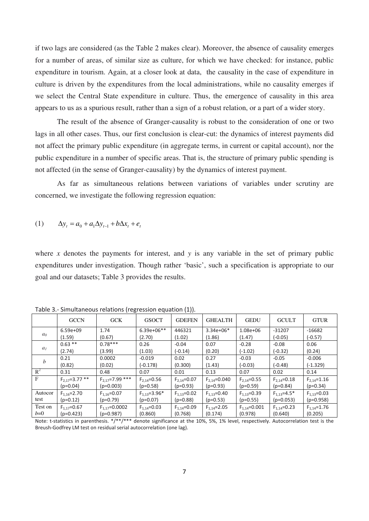if two lags are considered (as the Table 2 makes clear). Moreover, the absence of causality emerges for a number of areas, of similar size as culture, for which we have checked: for instance, public expenditure in tourism. Again, at a closer look at data, the causality in the case of expenditure in culture is driven by the expenditures from the local administrations, while no causality emerges if we select the Central State expenditure in culture. Thus, the emergence of causality in this area appears to us as a spurious result, rather than a sign of a robust relation, or a part of a wider story.

 The result of the absence of Granger-causality is robust to the consideration of one or two lags in all other cases. Thus, our first conclusion is clear-cut: the dynamics of interest payments did not affect the primary public expenditure (in aggregate terms, in current or capital account), nor the public expenditure in a number of specific areas. That is, the structure of primary public spending is not affected (in the sense of Granger-causality) by the dynamics of interest payment.

 As far as simultaneous relations between variations of variables under scrutiny are concerned, we investigate the following regression equation:

(1) 
$$
\Delta y_t = a_0 + a_1 \Delta y_{t-1} + b \Delta x_t + e_t
$$

where *x* denotes the payments for interest, and *y* is any variable in the set of primary public expenditures under investigation. Though rather 'basic', such a specification is appropriate to our goal and our datasets; Table 3 provides the results.

|                  |                    | $\cdots$ - $\alpha$ |                    |                   |                    |                    |                   |                   |
|------------------|--------------------|---------------------|--------------------|-------------------|--------------------|--------------------|-------------------|-------------------|
|                  | <b>GCCN</b>        | <b>GCK</b>          | <b>GSOCT</b>       | <b>GDEFEN</b>     | <b>GHEALTH</b>     | <b>GEDU</b>        | <b>GCULT</b>      | <b>GTUR</b>       |
| a <sub>0</sub>   | $6.59e+09$         | 1.74                | $6.39e+06**$       | 446321            | $3.34e+06*$        | $1.08e + 06$       | $-31207$          | $-16682$          |
|                  | (1.59)             | (0.67)              | (2.70)             | (1.02)            | (1.86)             | (1.47)             | $(-0.05)$         | $(-0.57)$         |
|                  | $0.63**$           | $0.78***$           | 0.26               | $-0.04$           | 0.07               | $-0.28$            | $-0.08$           | 0.06              |
| a <sub>I</sub>   | (2.74)             | (3.99)              | (1.03)             | $(-0.14)$         | (0.20)             | $(-1.02)$          | $(-0.32)$         | (0.24)            |
| $\boldsymbol{b}$ | 0.21               | 0.0002              | $-0.019$           | 0.02              | 0.27               | $-0.03$            | $-0.05$           | $-0.006$          |
|                  | (0.82)             | (0.02)              | (-0.178)           | (0.300)           | (1.43)             | $(-0.03)$          | $(-0.48)$         | $(-1.329)$        |
| $R^2$            | 0.31               | 0.48                | 0.07               | 0.01              | 0.13               | 0.07               | 0.02              | 0.14              |
| $\mathbf{F}$     | $F_{2,17}=3.77$ ** | $F_{2,17}=7.99***$  | $F_{2,14} = 0.56$  | $F_{2.14} = 0.07$ | $F_{2.14} = 0.040$ | $F_{2.14} = 0.55$  | $F_{2.14} = 0.18$ | $F_{2.14} = 1.16$ |
|                  | $(p=0.04)$         | $(p=0.003)$         | $(p=0.58)$         | $(p=0.93)$        | $(p=0.93)$         | $(p=0.59)$         | $(p=0.84)$        | $(p=0.34)$        |
| Autocor          | $F_{1.16} = 2.70$  | $F_{1,16} = 0.07$   | $F_{1,13} = 3.96*$ | $F_{1,13} = 0.02$ | $F_{1,13} = 0.40$  | $F_{1,13} = 0.39$  | $F_{1,13}=4.5*$   | $F_{1,13} = 0.03$ |
| test             | $(p=0.12)$         | $(p=0.79)$          | $(p=0.07)$         | $(p=0.88)$        | $(p=0.53)$         | $(p=0.55)$         | $(p=0.053)$       | $(p=0.958)$       |
| Test on          | $F_{1,17}=0.67$    | $F_{1,17} = 0.0002$ | $F_{1,14} = 0.03$  | $F_{1.14} = 0.09$ | $F_{1.14} = 2.05$  | $F_{1,14} = 0.001$ | $F_{1,14}=0.23$   | $F_{1,14} = 1.76$ |
| $b=0$            | $(p=0.423)$        | $(p=0.987)$         | (0.860)            | (0.768)           | (0.174)            | (0.978)            | (0.640)           | (0.205)           |

Table 3.‐ Simultaneous relations (regression equation (1)).

Note: t-statistics in parenthesis. \*/\*\*/\*\*\* denote significance at the 10%, 5%, 1% level, respectively. Autocorrelation test is the Breush‐Godfrey LM test on residual serial autocorrelation (one lag).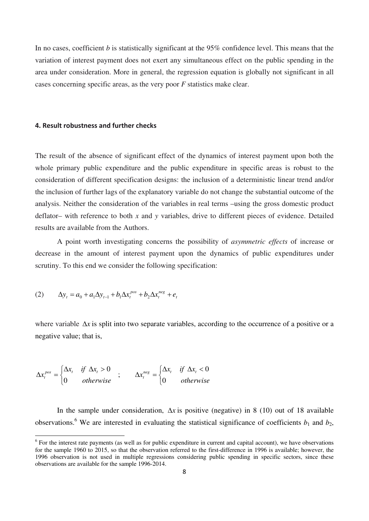In no cases, coefficient *b* is statistically significant at the 95% confidence level. This means that the variation of interest payment does not exert any simultaneous effect on the public spending in the area under consideration. More in general, the regression equation is globally not significant in all cases concerning specific areas, as the very poor *F* statistics make clear.

## **4. Result robustness and further checks**

The result of the absence of significant effect of the dynamics of interest payment upon both the whole primary public expenditure and the public expenditure in specific areas is robust to the consideration of different specification designs: the inclusion of a deterministic linear trend and/or the inclusion of further lags of the explanatory variable do not change the substantial outcome of the analysis. Neither the consideration of the variables in real terms –using the gross domestic product deflator– with reference to both *x* and *y* variables, drive to different pieces of evidence. Detailed results are available from the Authors.

 A point worth investigating concerns the possibility of *asymmetric effects* of increase or decrease in the amount of interest payment upon the dynamics of public expenditures under scrutiny. To this end we consider the following specification:

(2) 
$$
\Delta y_t = a_0 + a_1 \Delta y_{t-1} + b_1 \Delta x_t^{pos} + b_2 \Delta x_t^{neg} + e_t
$$

where variable  $\Delta x$  is split into two separate variables, according to the occurrence of a positive or a negative value; that is,

$$
\Delta x_t^{pos} = \begin{cases} \Delta x_t & \text{if } \Delta x_t > 0 \\ 0 & \text{otherwise} \end{cases} ; \qquad \Delta x_t^{neg} = \begin{cases} \Delta x_t & \text{if } \Delta x_t < 0 \\ 0 & \text{otherwise} \end{cases}
$$

In the sample under consideration,  $\Delta x$  is positive (negative) in 8 (10) out of 18 available observations.<sup>6</sup> We are interested in evaluating the statistical significance of coefficients  $b_1$  and  $b_2$ ,

<sup>&</sup>lt;sup>6</sup> For the interest rate payments (as well as for public expenditure in current and capital account), we have observations for the sample 1960 to 2015, so that the observation referred to the first-difference in 1996 is available; however, the 1996 observation is not used in multiple regressions considering public spending in specific sectors, since these observations are available for the sample 1996-2014.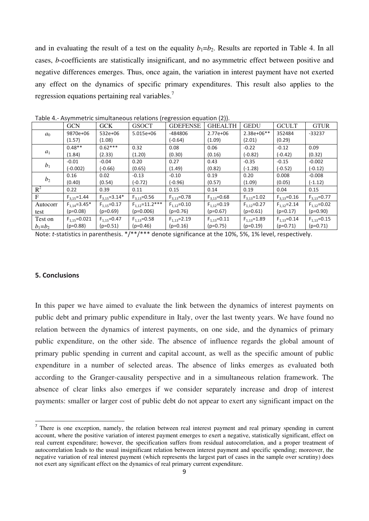and in evaluating the result of a test on the equality  $b_1=b_2$ . Results are reported in Table 4. In all cases, *b*-coefficients are statistically insignificant, and no asymmetric effect between positive and negative differences emerges. Thus, once again, the variation in interest payment have not exerted any effect on the dynamics of specific primary expenditures. This result also applies to the regression equations pertaining real variables.<sup>7</sup>

|                | <b>GCN</b>         | GCK                | <b>GSOCT</b>       | <b>GDEFENSE</b>   | <b>GHEALTH</b>    | <b>GEDU</b>       | <b>GCULT</b>      | <b>GTUR</b>     |
|----------------|--------------------|--------------------|--------------------|-------------------|-------------------|-------------------|-------------------|-----------------|
| a <sub>0</sub> | 9870e+06           | 532e+06            | $5.015e+06$        | -484806           | $2.77e + 06$      | $2.38e+06**$      | 352484            | $-33237$        |
|                | (1.57)             | (1.08)             |                    | $(-0.64)$         | (1.09)            | (2.01)            | (0.29)            |                 |
|                | $0.48**$           | $0.62***$          | 0.32               | 0.08              | 0.06              | $-0.22$           | $-0.12$           | 0.09            |
| $a_1$          | (1.84)             | (2.33)             | (1.20)             | (0.30)            | (0.16)            | $(-0.82)$         | $(-0.42)$         | (0.32)          |
| b <sub>1</sub> | $-0.01$            | $-0.04$            | 0.20               | 0.27              | 0.43              | $-0.35$           | $-0.15$           | $-0.002$        |
|                | $(-0.002)$         | $(-0.66)$          | (0.65)             | (1.49)            | (0.82)            | $(-1.28)$         | $(-0.52)$         | $(-0.12)$       |
|                | 0.16               | 0.02               | $-0.13$            | $-0.10$           | 0.19              | 0.20              | 0.008             | $-0.008$        |
| b <sub>2</sub> | (0.40)             | (0.54)             | $(-0.72)$          | $(-0.96)$         | (0.57)            | (1.09)            | (0.05)            | $(-1.12)$       |
| $R^2$          | 0.22               | 0.39               | 0.11               | 0.15              | 0.14              | 0.19              | 0.04              | 0.15            |
| $\mathbf{F}$   | $F_{3,15} = 1.44$  | $F_{3,15} = 3.14*$ | $F_{3,13} = 0.56$  | $F_{3,13}=0.78$   | $F_{3.13} = 0.68$ | $F_{3,13} = 1.02$ | $F_{3.13} = 0.16$ | $F_{3,13}=0.77$ |
| Autocorr       | $F_{1,14} = 3.45*$ | $F_{1,15} = 0.17$  | $F_{1,12}=11.2***$ | $F_{1.12}=0.10$   | $F_{1,12}=0.19$   | $F_{1,12}=0.27$   | $F_{1,12}=2.14$   | $F_{1,12}=0.02$ |
| test           | $(p=0.08)$         | $(p=0.69)$         | $(p=0.006)$        | $(p=0.76)$        | $(p=0.67)$        | $(p=0.61)$        | $(p=0.17)$        | $(p=0.90)$      |
| Test on        | $F_{1,15} = 0.021$ | $F_{1,15} = 0.47$  | $F_{1.13} = 0.58$  | $F_{1,13} = 2.19$ | $F_{1,13} = 0.11$ | $F_{1,13}=1.89$   | $F_{1,13}=0.14$   | $F_{1,13}=0.15$ |
| $b_1 = b_2$    | $(p=0.88)$         | $(p=0.51)$         | $(p=0.46)$         | $(p=0.16)$        | $(p=0.75)$        | $(p=0.19)$        | $(p=0.71)$        | $(p=0.71)$      |

Table 4.‐ Asymmetric simultaneous relations (regression equation (2)).

Note: *t*-statistics in parenthesis. \*/\*\*/\*\*\* denote significance at the 10%, 5%, 1% level, respectively.

## **5. Conclusions**

In this paper we have aimed to evaluate the link between the dynamics of interest payments on public debt and primary public expenditure in Italy, over the last twenty years. We have found no relation between the dynamics of interest payments, on one side, and the dynamics of primary public expenditure, on the other side. The absence of influence regards the global amount of primary public spending in current and capital account, as well as the specific amount of public expenditure in a number of selected areas. The absence of links emerges as evaluated both according to the Granger-causality perspective and in a simultaneous relation framework. The absence of clear links also emerges if we consider separately increase and drop of interest payments: smaller or larger cost of public debt do not appear to exert any significant impact on the

 $<sup>7</sup>$  There is one exception, namely, the relation between real interest payment and real primary spending in current</sup> account, where the positive variation of interest payment emerges to exert a negative, statistically significant, effect on real current expenditure; however, the specification suffers from residual autocorrelation, and a proper treatment of autocorrelation leads to the usual insignificant relation between interest payment and specific spending; moreover, the negative variation of real interest payment (which represents the largest part of cases in the sample over scrutiny) does not exert any significant effect on the dynamics of real primary current expenditure.